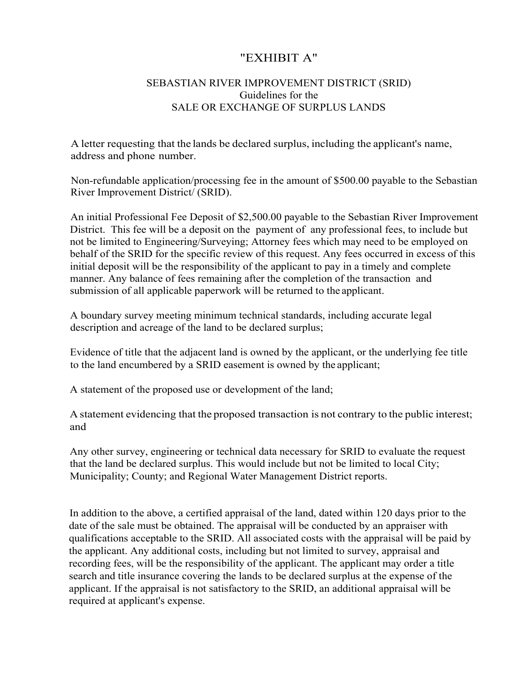## "EXHIBIT A"

## SEBASTIAN RIVER IMPROVEMENT DISTRICT (SRID) Guidelines for the SALE OR EXCHANGE OF SURPLUS LANDS

A letter requesting that the lands be declared surplus, including the applicant's name, address and phone number.

Non-refundable application/processing fee in the amount of \$500.00 payable to the Sebastian River Improvement District/ (SRID).

An initial Professional Fee Deposit of \$2,500.00 payable to the Sebastian River Improvement District. This fee will be a deposit on the payment of any professional fees, to include but not be limited to Engineering/Surveying; Attorney fees which may need to be employed on behalf of the SRID for the specific review of this request. Any fees occurred in excess of this initial deposit will be the responsibility of the applicant to pay in a timely and complete manner. Any balance of fees remaining after the completion of the transaction and submission of all applicable paperwork will be returned to the applicant.

A boundary survey meeting minimum technical standards, including accurate legal description and acreage of the land to be declared surplus;

Evidence of title that the adjacent land is owned by the applicant, or the underlying fee title to the land encumbered by a SRID easement is owned by the applicant;

A statement of the proposed use or development of the land;

A statement evidencing that the proposed transaction is not contrary to the public interest; and

Any other survey, engineering or technical data necessary for SRID to evaluate the request that the land be declared surplus. This would include but not be limited to local City; Municipality; County; and Regional Water Management District reports.

In addition to the above, a certified appraisal of the land, dated within 120 days prior to the date of the sale must be obtained. The appraisal will be conducted by an appraiser with qualifications acceptable to the SRID. All associated costs with the appraisal will be paid by the applicant. Any additional costs, including but not limited to survey, appraisal and recording fees, will be the responsibility of the applicant. The applicant may order a title search and title insurance covering the lands to be declared surplus at the expense of the applicant. If the appraisal is not satisfactory to the SRID, an additional appraisal will be required at applicant's expense.